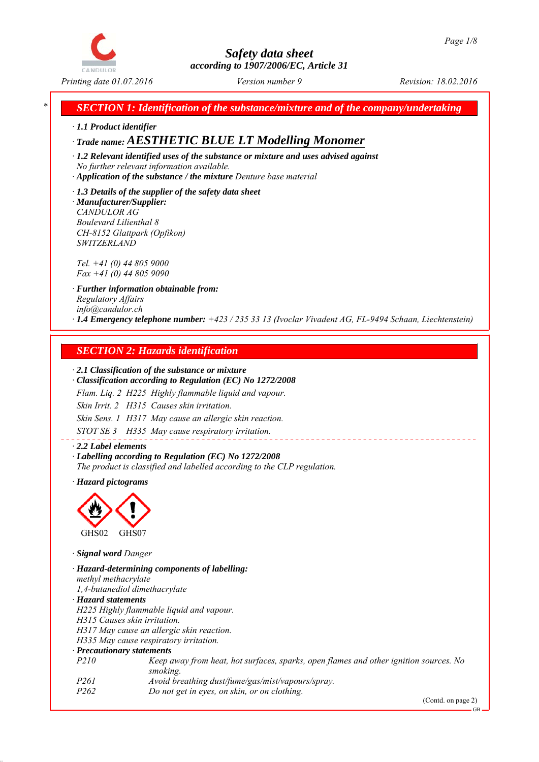

*\* SECTION 1: Identification of the substance/mixture and of the company/undertaking*

*∙ 1.1 Product identifier*

*∙ Trade name: AESTHETIC BLUE LT Modelling Monomer*

*∙ 1.2 Relevant identified uses of the substance or mixture and uses advised against No further relevant information available.*

*∙ Application of the substance / the mixture Denture base material*

*∙ 1.3 Details of the supplier of the safety data sheet ∙ Manufacturer/Supplier: CANDULOR AG Boulevard Lilienthal 8 CH-8152 Glattpark (Opfikon) SWITZERLAND*

*Tel. +41 (0) 44 805 9000 Fax +41 (0) 44 805 9090*

*∙ Further information obtainable from: Regulatory Affairs info@candulor.ch ∙ 1.4 Emergency telephone number: +423 / 235 33 13 (Ivoclar Vivadent AG, FL-9494 Schaan, Liechtenstein)*

## *SECTION 2: Hazards identification*

#### *∙ 2.1 Classification of the substance or mixture*

*∙ Classification according to Regulation (EC) No 1272/2008*

*Flam. Liq. 2 H225 Highly flammable liquid and vapour.*

*Skin Irrit. 2 H315 Causes skin irritation.*

*Skin Sens. 1 H317 May cause an allergic skin reaction.*

*STOT SE 3 H335 May cause respiratory irritation.*

*∙ 2.2 Label elements ∙ Labelling according to Regulation (EC) No 1272/2008 The product is classified and labelled according to the CLP regulation.*

*∙ Hazard pictograms*



*∙ Signal word Danger*

*∙ Hazard-determining components of labelling: methyl methacrylate 1,4-butanediol dimethacrylate ∙ Hazard statements H225 Highly flammable liquid and vapour. H315 Causes skin irritation. H317 May cause an allergic skin reaction. H335 May cause respiratory irritation. ∙ Precautionary statements P210 Keep away from heat, hot surfaces, sparks, open flames and other ignition sources. No smoking. P261 Avoid breathing dust/fume/gas/mist/vapours/spray. P262 Do not get in eyes, on skin, or on clothing.*

(Contd. on page 2)

GB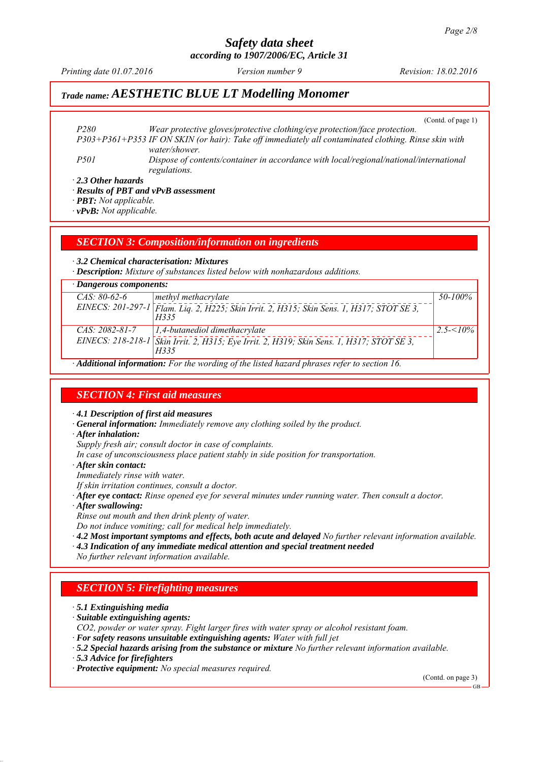# *Safety data sheet*

*according to 1907/2006/EC, Article 31*

*Printing date 01.07.2016 Revision: 18.02.2016 Version number 9*

## *Trade name: AESTHETIC BLUE LT Modelling Monomer*

(Contd. of page 1)

*P280 Wear protective gloves/protective clothing/eye protection/face protection. P303+P361+P353 IF ON SKIN (or hair): Take off immediately all contaminated clothing. Rinse skin with water/shower. P501 Dispose of contents/container in accordance with local/regional/national/international*

*∙ 2.3 Other hazards*

*∙ Results of PBT and vPvB assessment*

*regulations.*

*∙ PBT: Not applicable.*

*∙ vPvB: Not applicable.*

*SECTION 3: Composition/information on ingredients*

*∙ 3.2 Chemical characterisation: Mixtures*

*∙ Description: Mixture of substances listed below with nonhazardous additions.*

| $\cdot$ Dangerous components: |                                                                                                   |              |  |  |
|-------------------------------|---------------------------------------------------------------------------------------------------|--------------|--|--|
| $CAS: 80-62-6$                | methyl methacrylate                                                                               | 50-100%      |  |  |
|                               | EINECS: 201-297-1 Flam. Lig. 2, H225; Skin Irrit. 2, H315; Skin Sens. 1, H317; STOT SE 3,<br>H335 |              |  |  |
| $CAS: 2082-81-7$              | $\vert$ 1,4-butanediol dimethacrylate                                                             | $2.5 - 10\%$ |  |  |
|                               | EINECS: 218-218-1 Skin Irrit. 2, H315; Eye Irrit. 2, H319; Skin Sens. 1, H317; STOT SE 3,<br>H335 |              |  |  |
|                               |                                                                                                   |              |  |  |

*∙ Additional information: For the wording of the listed hazard phrases refer to section 16.*

## *SECTION 4: First aid measures*

*∙ 4.1 Description of first aid measures*

*∙ General information: Immediately remove any clothing soiled by the product.*

*∙ After inhalation:*

*Supply fresh air; consult doctor in case of complaints.*

*In case of unconsciousness place patient stably in side position for transportation.*

*∙ After skin contact:*

*Immediately rinse with water.*

*If skin irritation continues, consult a doctor.*

- *∙ After eye contact: Rinse opened eye for several minutes under running water. Then consult a doctor.*
- *∙ After swallowing:*

*Rinse out mouth and then drink plenty of water.*

*Do not induce vomiting; call for medical help immediately.*

- *∙ 4.2 Most important symptoms and effects, both acute and delayed No further relevant information available.*
- *∙ 4.3 Indication of any immediate medical attention and special treatment needed*

*No further relevant information available.*

## *SECTION 5: Firefighting measures*

*∙ 5.1 Extinguishing media*

*∙ Suitable extinguishing agents:*

*CO2, powder or water spray. Fight larger fires with water spray or alcohol resistant foam.*

*∙ For safety reasons unsuitable extinguishing agents: Water with full jet*

*∙ 5.2 Special hazards arising from the substance or mixture No further relevant information available.*

*∙ 5.3 Advice for firefighters*

*∙ Protective equipment: No special measures required.*

(Contd. on page 3)

GB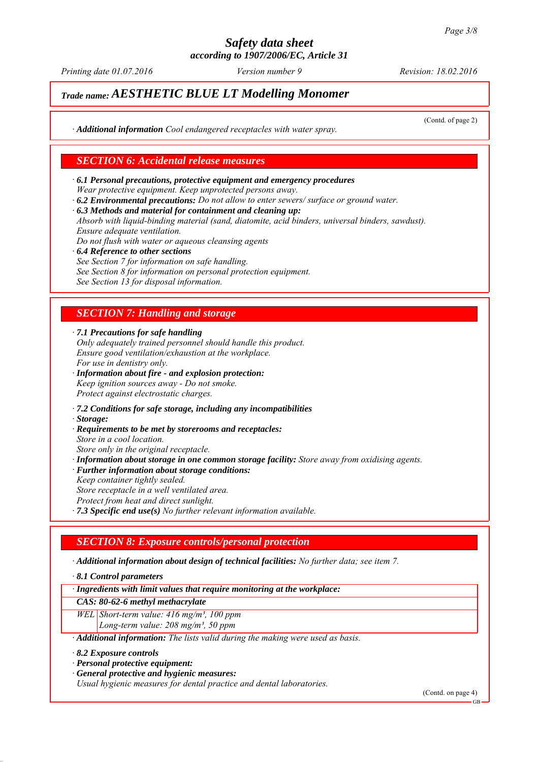*Printing date 01.07.2016 Revision: 18.02.2016 Version number 9*

## *Trade name: AESTHETIC BLUE LT Modelling Monomer*

(Contd. of page 2)

*∙ Additional information Cool endangered receptacles with water spray.*

## *SECTION 6: Accidental release measures*

- *∙ 6.1 Personal precautions, protective equipment and emergency procedures Wear protective equipment. Keep unprotected persons away.*
- *∙ 6.2 Environmental precautions: Do not allow to enter sewers/ surface or ground water.*
- *∙ 6.3 Methods and material for containment and cleaning up:*

*Absorb with liquid-binding material (sand, diatomite, acid binders, universal binders, sawdust). Ensure adequate ventilation.*

- *Do not flush with water or aqueous cleansing agents*
- *∙ 6.4 Reference to other sections See Section 7 for information on safe handling. See Section 8 for information on personal protection equipment. See Section 13 for disposal information.*

## *SECTION 7: Handling and storage*

*∙ 7.1 Precautions for safe handling*

- *Only adequately trained personnel should handle this product. Ensure good ventilation/exhaustion at the workplace. For use in dentistry only.*
- *∙ Information about fire and explosion protection: Keep ignition sources away - Do not smoke. Protect against electrostatic charges.*
- *∙ 7.2 Conditions for safe storage, including any incompatibilities*
- *∙ Storage:*
- *∙ Requirements to be met by storerooms and receptacles:*
- *Store in a cool location.*
- *Store only in the original receptacle. ∙ Information about storage in one common storage facility: Store away from oxidising agents.*
- *∙ Further information about storage conditions:*
- *Keep container tightly sealed. Store receptacle in a well ventilated area.*
- *Protect from heat and direct sunlight.*
- *∙ 7.3 Specific end use(s) No further relevant information available.*

## *SECTION 8: Exposure controls/personal protection*

*∙ Additional information about design of technical facilities: No further data; see item 7.*

*∙ 8.1 Control parameters*

*∙ Ingredients with limit values that require monitoring at the workplace:*

#### *CAS: 80-62-6 methyl methacrylate*

- *WEL Short-term value: 416 mg/m³, 100 ppm*
	- *Long-term value: 208 mg/m³, 50 ppm*
- *∙ Additional information: The lists valid during the making were used as basis.*
- *∙ 8.2 Exposure controls*
- *∙ Personal protective equipment:*
- *∙ General protective and hygienic measures:*

*Usual hygienic measures for dental practice and dental laboratories.*

(Contd. on page 4)

GB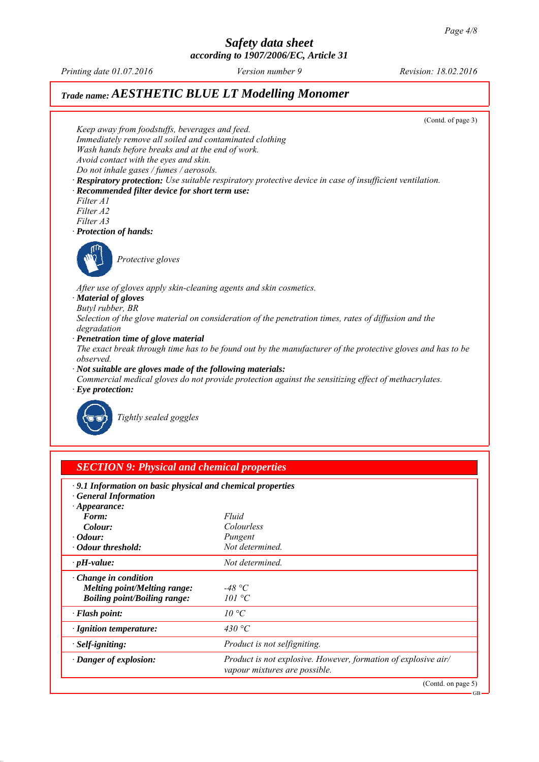GB

## *Safety data sheet according to 1907/2006/EC, Article 31*

*Printing date 01.07.2016 Revision: 18.02.2016 Version number 9*

## *Trade name: AESTHETIC BLUE LT Modelling Monomer*



| <b>SECTION 9: Physical and chemical properties</b> |
|----------------------------------------------------|
|----------------------------------------------------|

| .9.1 Information on basic physical and chemical properties |                                                                                                        |
|------------------------------------------------------------|--------------------------------------------------------------------------------------------------------|
| · General Information<br>$\cdot$ Appearance:               |                                                                                                        |
| Form:                                                      | Fluid                                                                                                  |
| Colour:                                                    | Colourless                                                                                             |
| $\cdot$ Odour:                                             | Pungent                                                                                                |
| • Odour threshold:                                         | Not determined.                                                                                        |
| $\cdot$ pH-value:                                          | Not determined.                                                                                        |
| $\cdot$ Change in condition                                |                                                                                                        |
| <b>Melting point/Melting range:</b>                        | -48 °C                                                                                                 |
| <b>Boiling point/Boiling range:</b>                        | 101 °C                                                                                                 |
| $\cdot$ Flash point:                                       | $10^{\circ}C$                                                                                          |
| · Ignition temperature:                                    | 430 °C                                                                                                 |
| $\cdot$ Self-igniting:                                     | Product is not selfigniting.                                                                           |
| · Danger of explosion:                                     | <i>Product is not explosive. However, formation of explosive air/</i><br>vapour mixtures are possible. |
|                                                            | (Contd. on page 5)                                                                                     |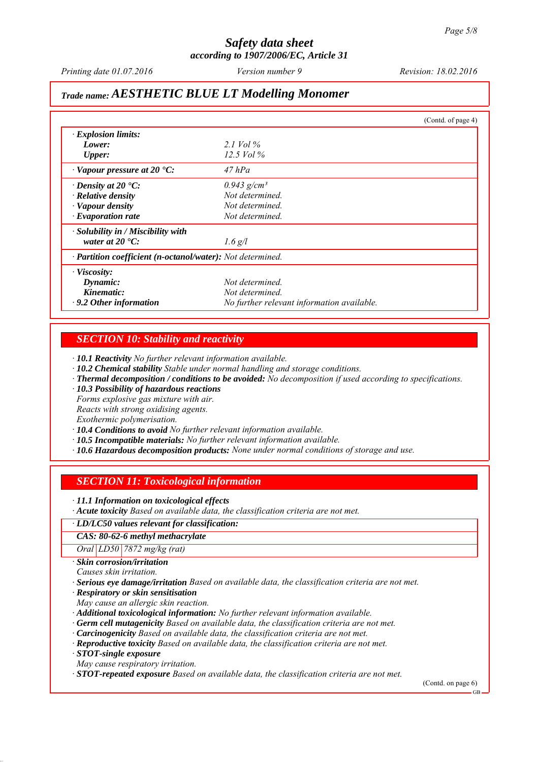*Printing date 01.07.2016 Revision: 18.02.2016 Version number 9*

## *Trade name: AESTHETIC BLUE LT Modelling Monomer*

|                                                            |                                            | (Contd. of page 4) |
|------------------------------------------------------------|--------------------------------------------|--------------------|
| $\cdot$ Explosion limits:                                  |                                            |                    |
| Lower:                                                     | 2.1 Vol $\%$                               |                    |
| Upper:                                                     | 12.5 Vol $\%$                              |                    |
| $\cdot$ Vapour pressure at 20 $\cdot$ C:                   | $47$ hPa                                   |                    |
| $\cdot$ Density at 20 $\cdot$ C:                           | $0.943$ g/cm <sup>3</sup>                  |                    |
| · Relative density                                         | Not determined.                            |                    |
| · Vapour density                                           | Not determined.                            |                    |
| $\cdot$ Evaporation rate                                   | Not determined.                            |                    |
| $\cdot$ Solubility in / Miscibility with                   |                                            |                    |
| water at $20^{\circ}$ C:                                   | $1.6$ g/l                                  |                    |
| · Partition coefficient (n-octanol/water): Not determined. |                                            |                    |
| $\cdot$ Viscosity:                                         |                                            |                    |
| Dynamic:                                                   | Not determined.                            |                    |
| Kinematic:                                                 | Not determined.                            |                    |
| $\cdot$ 9.2 Other information                              | No further relevant information available. |                    |

## *SECTION 10: Stability and reactivity*

*∙ 10.1 Reactivity No further relevant information available.*

- *∙ 10.2 Chemical stability Stable under normal handling and storage conditions.*
- *∙ Thermal decomposition / conditions to be avoided: No decomposition if used according to specifications.*
- *∙ 10.3 Possibility of hazardous reactions*

*Forms explosive gas mixture with air.*

*Reacts with strong oxidising agents.*

*Exothermic polymerisation.*

*∙ 10.4 Conditions to avoid No further relevant information available.*

- *∙ 10.5 Incompatible materials: No further relevant information available.*
- *∙ 10.6 Hazardous decomposition products: None under normal conditions of storage and use.*

## *SECTION 11: Toxicological information*

*∙ 11.1 Information on toxicological effects*

*∙ Acute toxicity Based on available data, the classification criteria are not met.*

#### *∙ LD/LC50 values relevant for classification:*

*CAS: 80-62-6 methyl methacrylate*

*Oral LD50 7872 mg/kg (rat)*

*∙ Skin corrosion/irritation*

*Causes skin irritation.*

*∙ Serious eye damage/irritation Based on available data, the classification criteria are not met.*

*∙ Respiratory or skin sensitisation*

*May cause an allergic skin reaction.*

*∙ Additional toxicological information: No further relevant information available.*

- *∙ Germ cell mutagenicity Based on available data, the classification criteria are not met.*
- *∙ Carcinogenicity Based on available data, the classification criteria are not met.*
- *∙ Reproductive toxicity Based on available data, the classification criteria are not met.*

*∙ STOT-single exposure*

*May cause respiratory irritation.*

*∙ STOT-repeated exposure Based on available data, the classification criteria are not met.*

(Contd. on page 6)

GB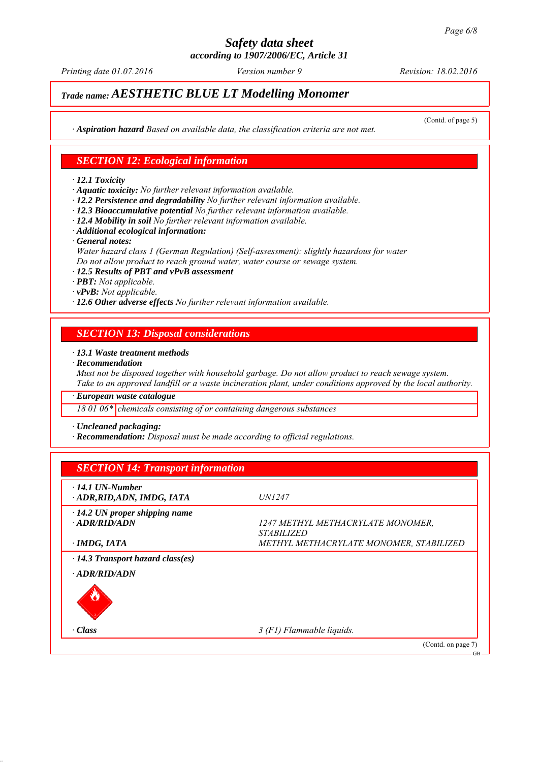*Printing date 01.07.2016 Revision: 18.02.2016 Version number 9*

## *Trade name: AESTHETIC BLUE LT Modelling Monomer*

(Contd. of page 5)

*∙ Aspiration hazard Based on available data, the classification criteria are not met.*

#### *SECTION 12: Ecological information*

*∙ 12.1 Toxicity*

*∙ Aquatic toxicity: No further relevant information available.*

- *∙ 12.2 Persistence and degradability No further relevant information available.*
- *∙ 12.3 Bioaccumulative potential No further relevant information available.*
- *∙ 12.4 Mobility in soil No further relevant information available.*
- *∙ Additional ecological information:*
- *∙ General notes:*

*Water hazard class 1 (German Regulation) (Self-assessment): slightly hazardous for water Do not allow product to reach ground water, water course or sewage system.*

*∙ 12.5 Results of PBT and vPvB assessment*

*∙ PBT: Not applicable.*

*∙ vPvB: Not applicable.*

*∙ 12.6 Other adverse effects No further relevant information available.*

## *SECTION 13: Disposal considerations*

#### *∙ 13.1 Waste treatment methods*

*∙ Recommendation*

*Must not be disposed together with household garbage. Do not allow product to reach sewage system. Take to an approved landfill or a waste incineration plant, under conditions approved by the local authority.*

*∙ European waste catalogue*

*18 01 06\* chemicals consisting of or containing dangerous substances*

*∙ Uncleaned packaging:*

*∙ Recommendation: Disposal must be made according to official regulations.*

| $\cdot$ 14.1 UN-Number<br>ADR, RID, ADN, IMDG, IATA | <i>UN1247</i>                           |
|-----------------------------------------------------|-----------------------------------------|
| $\cdot$ 14.2 UN proper shipping name                |                                         |
| $\cdot$ ADR/RID/ADN                                 | 1247 METHYL METHACRYLATE MONOMER,       |
|                                                     | <i>STABILIZED</i>                       |
| · IMDG, IATA                                        | METHYL METHACRYLATE MONOMER, STABILIZED |
| $\cdot$ 14.3 Transport hazard class(es)             |                                         |
| $\cdot$ ADR/RID/ADN                                 |                                         |
|                                                     |                                         |
| $\cdot Class$                                       | 3 (F1) Flammable liquids.               |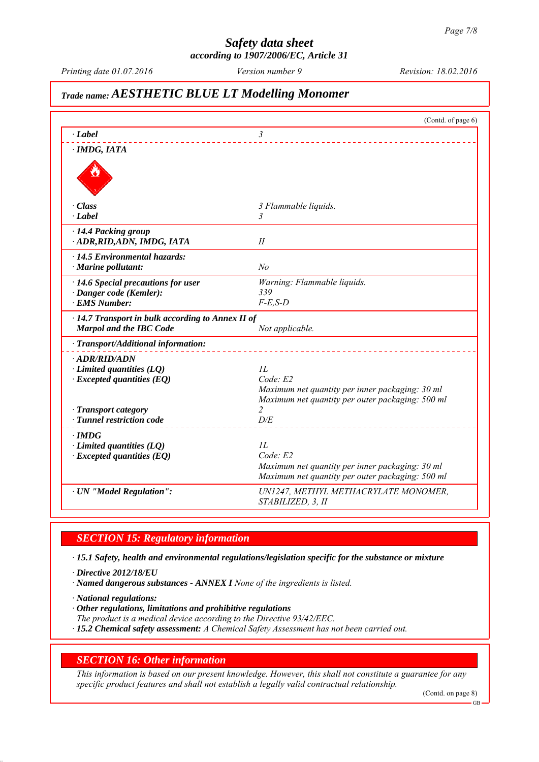# *Safety data sheet*

*according to 1907/2006/EC, Article 31*

## *Trade name: AESTHETIC BLUE LT Modelling Monomer*

|                                                                                           | (Contd. of page 6)                                                 |
|-------------------------------------------------------------------------------------------|--------------------------------------------------------------------|
| $\cdot$ <i>Label</i>                                                                      | 3                                                                  |
| · IMDG, IATA                                                                              |                                                                    |
|                                                                                           |                                                                    |
| · Class                                                                                   | 3 Flammable liquids.                                               |
| $\cdot$ <i>Label</i>                                                                      | 3                                                                  |
| · 14.4 Packing group<br>· ADR, RID, ADN, IMDG, IATA                                       | II                                                                 |
| $\cdot$ 14.5 Environmental hazards:                                                       |                                                                    |
| $\cdot$ Marine pollutant:                                                                 | No                                                                 |
| $\cdot$ 14.6 Special precautions for user                                                 | Warning: Flammable liquids.                                        |
| · Danger code (Kemler):                                                                   | 339                                                                |
| <b>EMS Number:</b>                                                                        | $F-E$ , $S-D$                                                      |
| $\cdot$ 14.7 Transport in bulk according to Annex II of<br><b>Marpol and the IBC Code</b> | Not applicable.                                                    |
| · Transport/Additional information:                                                       |                                                                    |
| · ADR/RID/ADN                                                                             |                                                                    |
| $\cdot$ Limited quantities (LQ)                                                           | 1L                                                                 |
| $\cdot$ Excepted quantities (EQ)                                                          | Code: E2                                                           |
|                                                                                           | Maximum net quantity per inner packaging: 30 ml                    |
| · Transport category                                                                      | Maximum net quantity per outer packaging: 500 ml<br>$\overline{c}$ |
| · Tunnel restriction code                                                                 | D/E                                                                |
| $\cdot$ IMDG                                                                              |                                                                    |
| $\cdot$ Limited quantities (LQ)                                                           | IL                                                                 |
| $\cdot$ Excepted quantities (EQ)                                                          | Code: E2                                                           |
|                                                                                           | Maximum net quantity per inner packaging: 30 ml                    |
|                                                                                           | Maximum net quantity per outer packaging: 500 ml                   |
| · UN "Model Regulation":                                                                  | UN1247, METHYL METHACRYLATE MONOMER,                               |
|                                                                                           | STABILIZED, 3, II                                                  |

## *SECTION 15: Regulatory information*

*∙ 15.1 Safety, health and environmental regulations/legislation specific for the substance or mixture*

*∙ Directive 2012/18/EU*

*∙ Named dangerous substances - ANNEX I None of the ingredients is listed.*

*∙ National regulations:*

*∙ Other regulations, limitations and prohibitive regulations*

*The product is a medical device according to the Directive 93/42/EEC.*

*∙ 15.2 Chemical safety assessment: A Chemical Safety Assessment has not been carried out.*

## *SECTION 16: Other information*

*This information is based on our present knowledge. However, this shall not constitute a guarantee for any specific product features and shall not establish a legally valid contractual relationship.*

(Contd. on page 8)

GB